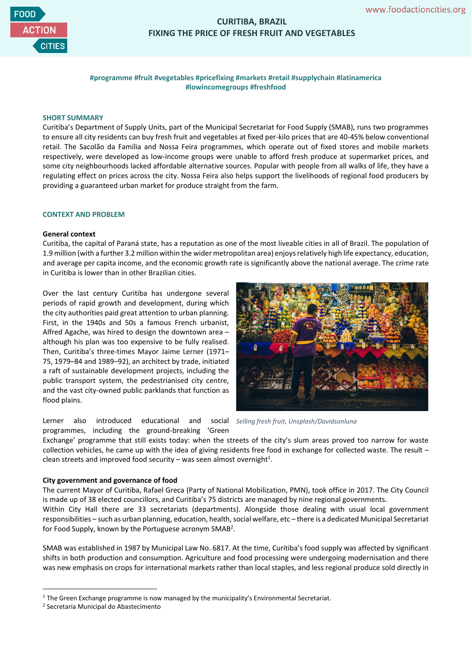

# **CURITIBA, BRAZIL FIXING THE PRICE OF FRESH FRUIT AND VEGETABLES**

# **#programme #fruit #vegetables #pricefixing #markets #retail #supplychain #latinamerica #lowincomegroups #freshfood**

#### **SHORT SUMMARY**

Curitiba's Department of Supply Units, part of the Municipal Secretariat for Food Supply (SMAB), runs two programmes to ensure all city residents can buy fresh fruit and vegetables at fixed per-kilo prices that are 40-45% below conventional retail. The Sacolão da Família and Nossa Feira programmes, which operate out of fixed stores and mobile markets respectively, were developed as low-income groups were unable to afford fresh produce at supermarket prices, and some city neighbourhoods lacked affordable alternative sources. Popular with people from all walks of life, they have a regulating effect on prices across the city. Nossa Feira also helps support the livelihoods of regional food producers by providing a guaranteed urban market for produce straight from the farm.

# **CONTEXT AND PROBLEM**

#### **General context**

Curitiba, the capital of Paraná state, has a reputation as one of the most liveable cities in all of Brazil. The population of 1.9 million (with a further 3.2 million within the wider metropolitan area) enjoys relatively high life expectancy, education, and average per capita income, and the economic growth rate is significantly above the national average. The crime rate in Curitiba is lower than in other Brazilian cities.

Over the last century Curitiba has undergone several periods of rapid growth and development, during which the city authorities paid great attention to urban planning. First, in the 1940s and 50s a famous French urbanist, Alfred Agache, was hired to design the downtown area – although his plan was too expensive to be fully realised. Then, Curitiba's three-times Mayor Jaime Lerner (1971– 75, 1979–84 and 1989–92), an architect by trade, initiated a raft of sustainable development projects, including the public transport system, the pedestrianised city centre, and the vast city-owned public parklands that function as flood plains.

Lerner also introduced educational and programmes, including the ground-breaking 'Green



*Selling fresh fruit, Unsplash/Davidsonluna*

Exchange' programme that still exists today: when the streets of the city's slum areas proved too narrow for waste collection vehicles, he came up with the idea of giving residents free food in exchange for collected waste. The result – clean streets and improved food security  $-$  was seen almost overnight<sup>1</sup>.

#### **City government and governance of food**

The current Mayor of Curitiba, Rafael Greca (Party of National Mobilization, PMN), took office in 2017. The City Council is made up of 38 elected councillors, and Curitiba's 75 districts are managed by nine regional governments.

Within City Hall there are 33 secretariats (departments). Alongside those dealing with usual local government responsibilities – such as urban planning, education, health, social welfare, etc – there is a dedicated Municipal Secretariat for Food Supply, known by the Portuguese acronym SMAB<sup>2</sup>.

SMAB was established in 1987 by Municipal Law No. 6817. At the time, Curitiba's food supply was affected by significant shifts in both production and consumption. Agriculture and food processing were undergoing modernisation and there was new emphasis on crops for international markets rather than local staples, and less regional produce sold directly in

<sup>&</sup>lt;sup>1</sup> The Green Exchange programme is now managed by the municipality's Environmental Secretariat.

<sup>2</sup> Secretaria Municipal do Abastecimento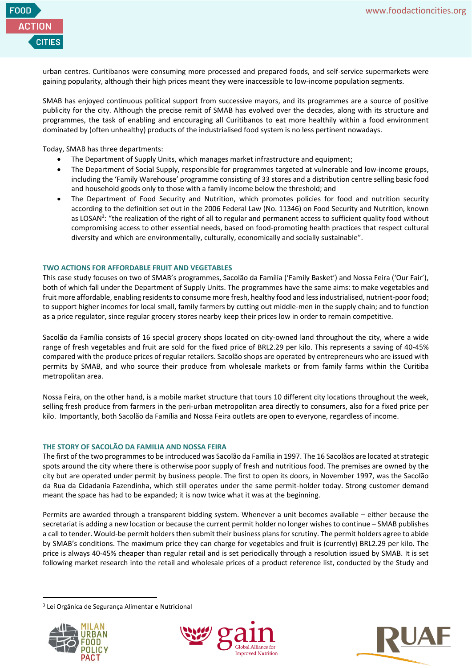

urban centres. Curitibanos were consuming more processed and prepared foods, and self-service supermarkets were gaining popularity, although their high prices meant they were inaccessible to low-income population segments.

SMAB has enjoyed continuous political support from successive mayors, and its programmes are a source of positive publicity for the city. Although the precise remit of SMAB has evolved over the decades, along with its structure and programmes, the task of enabling and encouraging all Curitibanos to eat more healthily within a food environment dominated by (often unhealthy) products of the industrialised food system is no less pertinent nowadays.

Today, SMAB has three departments:

- The Department of Supply Units, which manages market infrastructure and equipment;
- The Department of Social Supply, responsible for programmes targeted at vulnerable and low-income groups, including the 'Family Warehouse' programme consisting of 33 stores and a distribution centre selling basic food and household goods only to those with a family income below the threshold; and
- The Department of Food Security and Nutrition, which promotes policies for food and nutrition security according to the definition set out in the 2006 Federal Law (No. 11346) on Food Security and Nutrition, known as LOSAN<sup>3</sup>: "the realization of the right of all to regular and permanent access to sufficient quality food without compromising access to other essential needs, based on food-promoting health practices that respect cultural diversity and which are environmentally, culturally, economically and socially sustainable".

# **TWO ACTIONS FOR AFFORDABLE FRUIT AND VEGETABLES**

This case study focuses on two of SMAB's programmes, Sacolão da Família ('Family Basket') and Nossa Feira ('Our Fair'), both of which fall under the Department of Supply Units. The programmes have the same aims: to make vegetables and fruit more affordable, enabling residents to consume more fresh, healthy food and less industrialised, nutrient-poor food; to support higher incomes for local small, family farmers by cutting out middle-men in the supply chain; and to function as a price regulator, since regular grocery stores nearby keep their prices low in order to remain competitive.

Sacolão da Família consists of 16 special grocery shops located on city-owned land throughout the city, where a wide range of fresh vegetables and fruit are sold for the fixed price of BRL2.29 per kilo. This represents a saving of 40-45% compared with the produce prices of regular retailers. Sacolão shops are operated by entrepreneurs who are issued with permits by SMAB, and who source their produce from wholesale markets or from family farms within the Curitiba metropolitan area.

Nossa Feira, on the other hand, is a mobile market structure that tours 10 different city locations throughout the week, selling fresh produce from farmers in the peri-urban metropolitan area directly to consumers, also for a fixed price per kilo. Importantly, both Sacolão da Família and Nossa Feira outlets are open to everyone, regardless of income.

#### **THE STORY OF SACOLÃO DA FAMILIA AND NOSSA FEIRA**

The first of the two programmes to be introduced was Sacolão da Família in 1997. The 16 Sacolãos are located at strategic spots around the city where there is otherwise poor supply of fresh and nutritious food. The premises are owned by the city but are operated under permit by business people. The first to open its doors, in November 1997, was the Sacolão da Rua da Cidadania Fazendinha, which still operates under the same permit-holder today. Strong customer demand meant the space has had to be expanded; it is now twice what it was at the beginning.

Permits are awarded through a transparent bidding system. Whenever a unit becomes available – either because the secretariat is adding a new location or because the current permit holder no longer wishes to continue – SMAB publishes a call to tender. Would-be permit holders then submit their business plans for scrutiny. The permit holders agree to abide by SMAB's conditions. The maximum price they can charge for vegetables and fruit is (currently) BRL2.29 per kilo. The price is always 40-45% cheaper than regular retail and is set periodically through a resolution issued by SMAB. It is set following market research into the retail and wholesale prices of a product reference list, conducted by the Study and

<sup>3</sup> Lei Orgânica de Segurança Alimentar e Nutricional





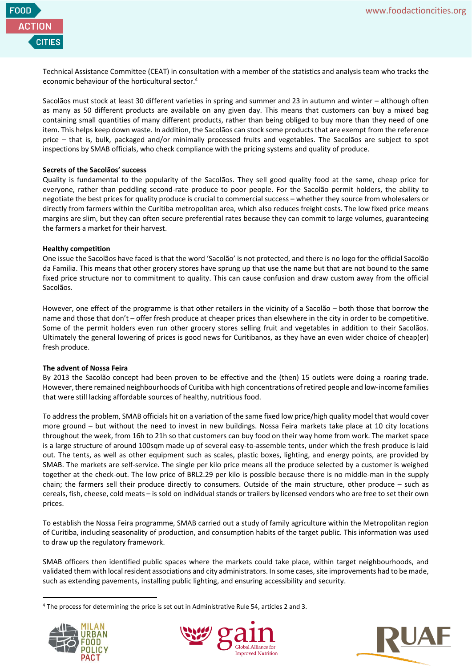

Technical Assistance Committee (CEAT) in consultation with a member of the statistics and analysis team who tracks the economic behaviour of the horticultural sector. 4

Sacolãos must stock at least 30 different varieties in spring and summer and 23 in autumn and winter – although often as many as 50 different products are available on any given day. This means that customers can buy a mixed bag containing small quantities of many different products, rather than being obliged to buy more than they need of one item. This helps keep down waste. In addition, the Sacolãos can stock some products that are exempt from the reference price – that is, bulk, packaged and/or minimally processed fruits and vegetables. The Sacolãos are subject to spot inspections by SMAB officials, who check compliance with the pricing systems and quality of produce.

# **Secrets of the Sacolãos' success**

Quality is fundamental to the popularity of the Sacolãos. They sell good quality food at the same, cheap price for everyone, rather than peddling second-rate produce to poor people. For the Sacolão permit holders, the ability to negotiate the best prices for quality produce is crucial to commercial success – whether they source from wholesalers or directly from farmers within the Curitiba metropolitan area, which also reduces freight costs. The low fixed price means margins are slim, but they can often secure preferential rates because they can commit to large volumes, guaranteeing the farmers a market for their harvest.

#### **Healthy competition**

One issue the Sacolãos have faced is that the word 'Sacolão' is not protected, and there is no logo for the official Sacolão da Familia. This means that other grocery stores have sprung up that use the name but that are not bound to the same fixed price structure nor to commitment to quality. This can cause confusion and draw custom away from the official Sacolãos.

However, one effect of the programme is that other retailers in the vicinity of a Sacolão – both those that borrow the name and those that don't – offer fresh produce at cheaper prices than elsewhere in the city in order to be competitive. Some of the permit holders even run other grocery stores selling fruit and vegetables in addition to their Sacolãos. Ultimately the general lowering of prices is good news for Curitibanos, as they have an even wider choice of cheap(er) fresh produce.

# **The advent of Nossa Feira**

By 2013 the Sacolão concept had been proven to be effective and the (then) 15 outlets were doing a roaring trade. However, there remained neighbourhoods of Curitiba with high concentrations of retired people and low-income families that were still lacking affordable sources of healthy, nutritious food.

To address the problem, SMAB officials hit on a variation of the same fixed low price/high quality model that would cover more ground – but without the need to invest in new buildings. Nossa Feira markets take place at 10 city locations throughout the week, from 16h to 21h so that customers can buy food on their way home from work. The market space is a large structure of around 100sqm made up of several easy-to-assemble tents, under which the fresh produce is laid out. The tents, as well as other equipment such as scales, plastic boxes, lighting, and energy points, are provided by SMAB. The markets are self-service. The single per kilo price means all the produce selected by a customer is weighed together at the check-out. The low price of BRL2.29 per kilo is possible because there is no middle-man in the supply chain; the farmers sell their produce directly to consumers. Outside of the main structure, other produce – such as cereals, fish, cheese, cold meats – is sold on individual stands or trailers by licensed vendors who are free to set their own prices.

To establish the Nossa Feira programme, SMAB carried out a study of family agriculture within the Metropolitan region of Curitiba, including seasonality of production, and consumption habits of the target public. This information was used to draw up the regulatory framework.

SMAB officers then identified public spaces where the markets could take place, within target neighbourhoods, and validated them with local resident associations and city administrators. In some cases, site improvements had to be made, such as extending pavements, installing public lighting, and ensuring accessibility and security.

<sup>4</sup> The process for determining the price is set out in Administrative Rule 54, articles 2 and 3.





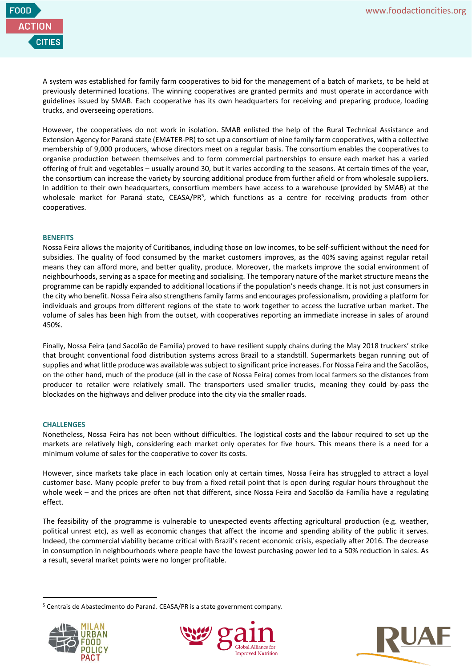

A system was established for family farm cooperatives to bid for the management of a batch of markets, to be held at previously determined locations. The winning cooperatives are granted permits and must operate in accordance with guidelines issued by SMAB. Each cooperative has its own headquarters for receiving and preparing produce, loading trucks, and overseeing operations.

However, the cooperatives do not work in isolation. SMAB enlisted the help of the Rural Technical Assistance and Extension Agency for Paraná state (EMATER-PR) to set up a consortium of nine family farm cooperatives, with a collective membership of 9,000 producers, whose directors meet on a regular basis. The consortium enables the cooperatives to organise production between themselves and to form commercial partnerships to ensure each market has a varied offering of fruit and vegetables – usually around 30, but it varies according to the seasons. At certain times of the year, the consortium can increase the variety by sourcing additional produce from further afield or from wholesale suppliers. In addition to their own headquarters, consortium members have access to a warehouse (provided by SMAB) at the wholesale market for Paraná state, CEASA/PR<sup>5</sup>, which functions as a centre for receiving products from other cooperatives.

#### **BENEFITS**

Nossa Feira allows the majority of Curitibanos, including those on low incomes, to be self-sufficient without the need for subsidies. The quality of food consumed by the market customers improves, as the 40% saving against regular retail means they can afford more, and better quality, produce. Moreover, the markets improve the social environment of neighbourhoods, serving as a space for meeting and socialising. The temporary nature of the market structure means the programme can be rapidly expanded to additional locations if the population's needs change. It is not just consumers in the city who benefit. Nossa Feira also strengthens family farms and encourages professionalism, providing a platform for individuals and groups from different regions of the state to work together to access the lucrative urban market. The volume of sales has been high from the outset, with cooperatives reporting an immediate increase in sales of around 450%.

Finally, Nossa Feira (and Sacolão de Familia) proved to have resilient supply chains during the May 2018 truckers' strike that brought conventional food distribution systems across Brazil to a standstill. Supermarkets began running out of supplies and what little produce was available was subject to significant price increases. For Nossa Feira and the Sacolãos, on the other hand, much of the produce (all in the case of Nossa Feira) comes from local farmers so the distances from producer to retailer were relatively small. The transporters used smaller trucks, meaning they could by-pass the blockades on the highways and deliver produce into the city via the smaller roads.

#### **CHALLENGES**

Nonetheless, Nossa Feira has not been without difficulties. The logistical costs and the labour required to set up the markets are relatively high, considering each market only operates for five hours. This means there is a need for a minimum volume of sales for the cooperative to cover its costs.

However, since markets take place in each location only at certain times, Nossa Feira has struggled to attract a loyal customer base. Many people prefer to buy from a fixed retail point that is open during regular hours throughout the whole week – and the prices are often not that different, since Nossa Feira and Sacolão da Família have a regulating effect.

The feasibility of the programme is vulnerable to unexpected events affecting agricultural production (e.g. weather, political unrest etc), as well as economic changes that affect the income and spending ability of the public it serves. Indeed, the commercial viability became critical with Brazil's recent economic crisis, especially after 2016. The decrease in consumption in neighbourhoods where people have the lowest purchasing power led to a 50% reduction in sales. As a result, several market points were no longer profitable.

<sup>&</sup>lt;sup>5</sup> Centrais de Abastecimento do Paraná. CEASA/PR is a state government company.





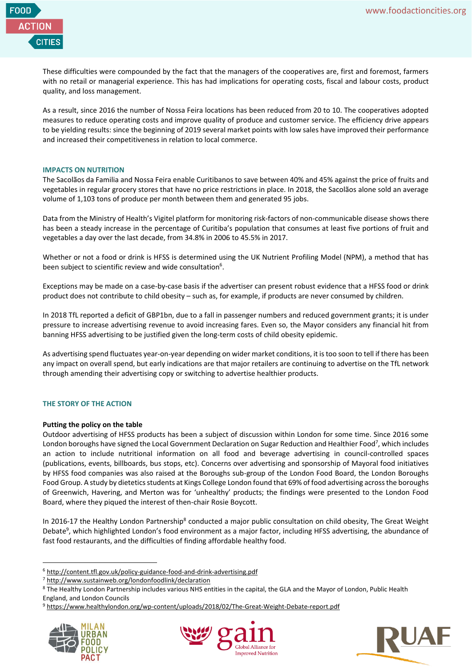

These difficulties were compounded by the fact that the managers of the cooperatives are, first and foremost, farmers with no retail or managerial experience. This has had implications for operating costs, fiscal and labour costs, product quality, and loss management.

As a result, since 2016 the number of Nossa Feira locations has been reduced from 20 to 10. The cooperatives adopted measures to reduce operating costs and improve quality of produce and customer service. The efficiency drive appears to be yielding results: since the beginning of 2019 several market points with low sales have improved their performance and increased their competitiveness in relation to local commerce.

#### **IMPACTS ON NUTRITION**

The Sacolãos da Familia and Nossa Feira enable Curitibanos to save between 40% and 45% against the price of fruits and vegetables in regular grocery stores that have no price restrictions in place. In 2018, the Sacolãos alone sold an average volume of 1,103 tons of produce per month between them and generated 95 jobs.

Data from the Ministry of Health's Vigitel platform for monitoring risk-factors of non-communicable disease shows there has been a steady increase in the percentage of Curitiba's population that consumes at least five portions of fruit and vegetables a day over the last decade, from 34.8% in 2006 to 45.5% in 2017.

Whether or not a food or drink is HFSS is determined using the UK Nutrient Profiling Model (NPM), a method that has been subject to scientific review and wide consultation<sup>6</sup>.

Exceptions may be made on a case-by-case basis if the advertiser can present robust evidence that a HFSS food or drink product does not contribute to child obesity – such as, for example, if products are never consumed by children.

In 2018 TfL reported a deficit of GBP1bn, due to a fall in passenger numbers and reduced government grants; it is under pressure to increase advertising revenue to avoid increasing fares. Even so, the Mayor considers any financial hit from banning HFSS advertising to be justified given the long-term costs of child obesity epidemic.

As advertising spend fluctuates year-on-year depending on wider market conditions, it is too soon to tell if there has been any impact on overall spend, but early indications are that major retailers are continuing to advertise on the TfL network through amending their advertising copy or switching to advertise healthier products.

# **THE STORY OF THE ACTION**

# **Putting the policy on the table**

Outdoor advertising of HFSS products has been a subject of discussion within London for some time. Since 2016 some London boroughs have signed the Local Government Declaration on Sugar Reduction and Healthier Food<sup>7</sup>, which includes an action to include nutritional information on all food and beverage advertising in council-controlled spaces (publications, events, billboards, bus stops, etc). Concerns over advertising and sponsorship of Mayoral food initiatives by HFSS food companies was also raised at the Boroughs sub-group of the London Food Board, the London Boroughs Food Group. A study by dietetics students at Kings College London found that 69% of food advertising across the boroughs of Greenwich, Havering, and Merton was for 'unhealthy' products; the findings were presented to the London Food Board, where they piqued the interest of then-chair Rosie Boycott.

In 2016-17 the Healthy London Partnership<sup>8</sup> conducted a major public consultation on child obesity, The Great Weight Debate<sup>9</sup>, which highlighted London's food environment as a major factor, including HFSS advertising, the abundance of fast food restaurants, and the difficulties of finding affordable healthy food.

<sup>9</sup> https://www.healthylondon.org/wp-content/uploads/2018/02/The-Great-Weight-Debate-report.pdf







<sup>6</sup> <http://content.tfl.gov.uk/policy-guidance-food-and-drink-advertising.pdf>

<sup>7</sup> <http://www.sustainweb.org/londonfoodlink/declaration>

<sup>8</sup> The Healthy London Partnership includes various NHS entities in the capital, the GLA and the Mayor of London, Public Health England, and London Councils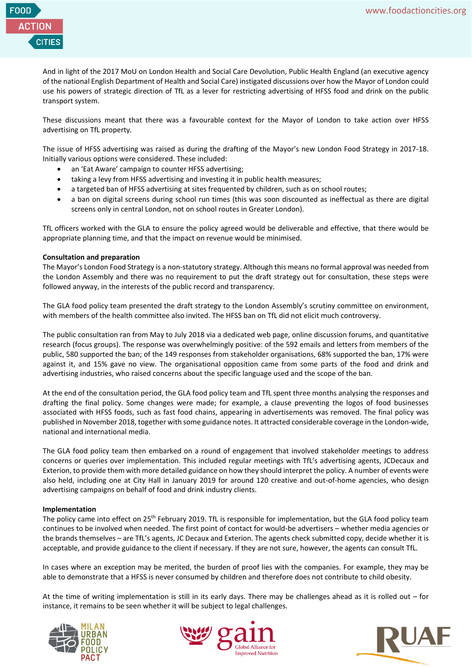

And in light of the 2017 MoU on London Health and Social Care Devolution, Public Health England (an executive agency of the national English Department of Health and Social Care) instigated discussions over how the Mayor of London could use his powers of strategic direction of TfL as a lever for restricting advertising of HFSS food and drink on the public transport system.

These discussions meant that there was a favourable context for the Mayor of London to take action over HFSS advertising on TfL property.

The issue of HFSS advertising was raised as during the drafting of the Mayor's new London Food Strategy in 2017-18. Initially various options were considered. These included:

- an 'Eat Aware' campaign to counter HFSS advertising;
- taking a levy from HFSS advertising and investing it in public health measures;
- a targeted ban of HFSS advertising at sites frequented by children, such as on school routes;
- a ban on digital screens during school run times (this was soon discounted as ineffectual as there are digital screens only in central London, not on school routes in Greater London).

TfL officers worked with the GLA to ensure the policy agreed would be deliverable and effective, that there would be appropriate planning time, and that the impact on revenue would be minimised.

#### **Consultation and preparation**

The Mayor's London Food Strategy is a non-statutory strategy. Although this means no formal approval was needed from the London Assembly and there was no requirement to put the draft strategy out for consultation, these steps were followed anyway, in the interests of the public record and transparency.

The GLA food policy team presented the draft strategy to the London Assembly's scrutiny committee on environment, with members of the health committee also invited. The HFSS ban on TfL did not elicit much controversy.

The public consultation ran from May to July 2018 via a dedicated web page, online discussion forums, and quantitative research (focus groups). The response was overwhelmingly positive: of the 592 emails and letters from members of the public, 580 supported the ban; of the 149 responses from stakeholder organisations, 68% supported the ban, 17% were against it, and 15% gave no view. The organisational opposition came from some parts of the food and drink and advertising industries, who raised concerns about the specific language used and the scope of the ban.

At the end of the consultation period, the GLA food policy team and TfL spent three months analysing the responses and drafting the final policy. Some changes were made; for example, a clause preventing the logos of food businesses associated with HFSS foods, such as fast food chains, appearing in advertisements was removed. The final policy was published in November 2018, together with some guidance notes. It attracted considerable coverage in the London-wide, national and international media.

The GLA food policy team then embarked on a round of engagement that involved stakeholder meetings to address concerns or queries over implementation. This included regular meetings with TfL's advertising agents, JCDecaux and Exterion, to provide them with more detailed guidance on how they should interpret the policy. A number of events were also held, including one at City Hall in January 2019 for around 120 creative and out-of-home agencies, who design advertising campaigns on behalf of food and drink industry clients.

#### **Implementation**

The policy came into effect on 25<sup>th</sup> February 2019. TfL is responsible for implementation, but the GLA food policy team continues to be involved when needed. The first point of contact for would-be advertisers – whether media agencies or the brands themselves – are TfL's agents, JC Decaux and Exterion. The agents check submitted copy, decide whether it is acceptable, and provide guidance to the client if necessary. If they are not sure, however, the agents can consult TfL.

In cases where an exception may be merited, the burden of proof lies with the companies. For example, they may be able to demonstrate that a HFSS is never consumed by children and therefore does not contribute to child obesity.

At the time of writing implementation is still in its early days. There may be challenges ahead as it is rolled out – for instance, it remains to be seen whether it will be subject to legal challenges.





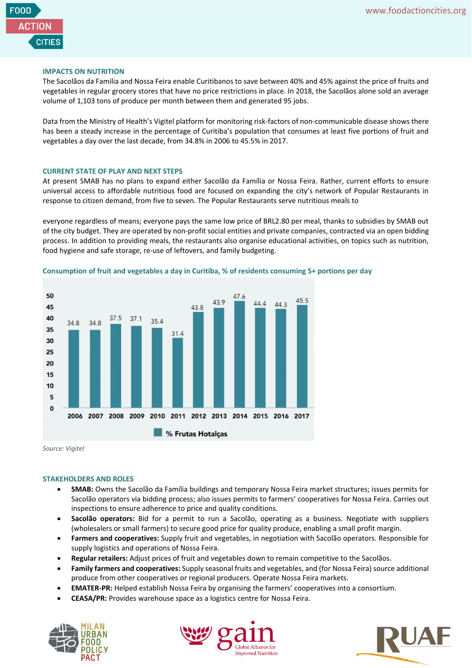

### **IMPACTS ON NUTRITION**

The Sacolãos da Familia and Nossa Feira enable Curitibanos to save between 40% and 45% against the price of fruits and vegetables in regular grocery stores that have no price restrictions in place. In 2018, the Sacolãos alone sold an average volume of 1,103 tons of produce per month between them and generated 95 jobs.

Data from the Ministry of Health's Vigitel platform for monitoring risk-factors of non-communicable disease shows there has been a steady increase in the percentage of Curitiba's population that consumes at least five portions of fruit and vegetables a day over the last decade, from 34.8% in 2006 to 45.5% in 2017.

#### **CURRENT STATE OF PLAY AND NEXT STEPS**

At present SMAB has no plans to expand either Sacolão da Família or Nossa Feira. Rather, current efforts to ensure universal access to affordable nutritious food are focused on expanding the city's network of Popular Restaurants in response to citizen demand, from five to seven. The Popular Restaurants serve nutritious meals to

everyone regardless of means; everyone pays the same low price of BRL2.80 per meal, thanks to subsidies by SMAB out of the city budget. They are operated by non-profit social entities and private companies, contracted via an open bidding process. In addition to providing meals, the restaurants also organise educational activities, on topics such as nutrition, food hygiene and safe storage, re-use of leftovers, and family budgeting.



**Consumption of fruit and vegetables a day in Curitiba, % of residents consuming 5+ portions per day**

*Source: Vigitel*

#### **STAKEHOLDERS AND ROLES**

- **SMAB:** Owns the Sacolão da Família buildings and temporary Nossa Feira market structures; issues permits for Sacolão operators via bidding process; also issues permits to farmers' cooperatives for Nossa Feira. Carries out inspections to ensure adherence to price and quality conditions.
- **Sacolão operators:** Bid for a permit to run a Sacolão, operating as a business. Negotiate with suppliers (wholesalers or small farmers) to secure good price for quality produce, enabling a small profit margin.
- **Farmers and cooperatives:** Supply fruit and vegetables, in negotiation with Sacolão operators. Responsible for supply logistics and operations of Nossa Feira.
- **Regular retailers:** Adjust prices of fruit and vegetables down to remain competitive to the Sacolãos.
- **Family farmers and cooperatives:** Supply seasonal fruits and vegetables, and (for Nossa Feira) source additional produce from other cooperatives or regional producers. Operate Nossa Feira markets.
- **EMATER-PR:** Helped establish Nossa Feira by organising the farmers' cooperatives into a consortium.
- **CEASA/PR:** Provides warehouse space as a logistics centre for Nossa Feira.